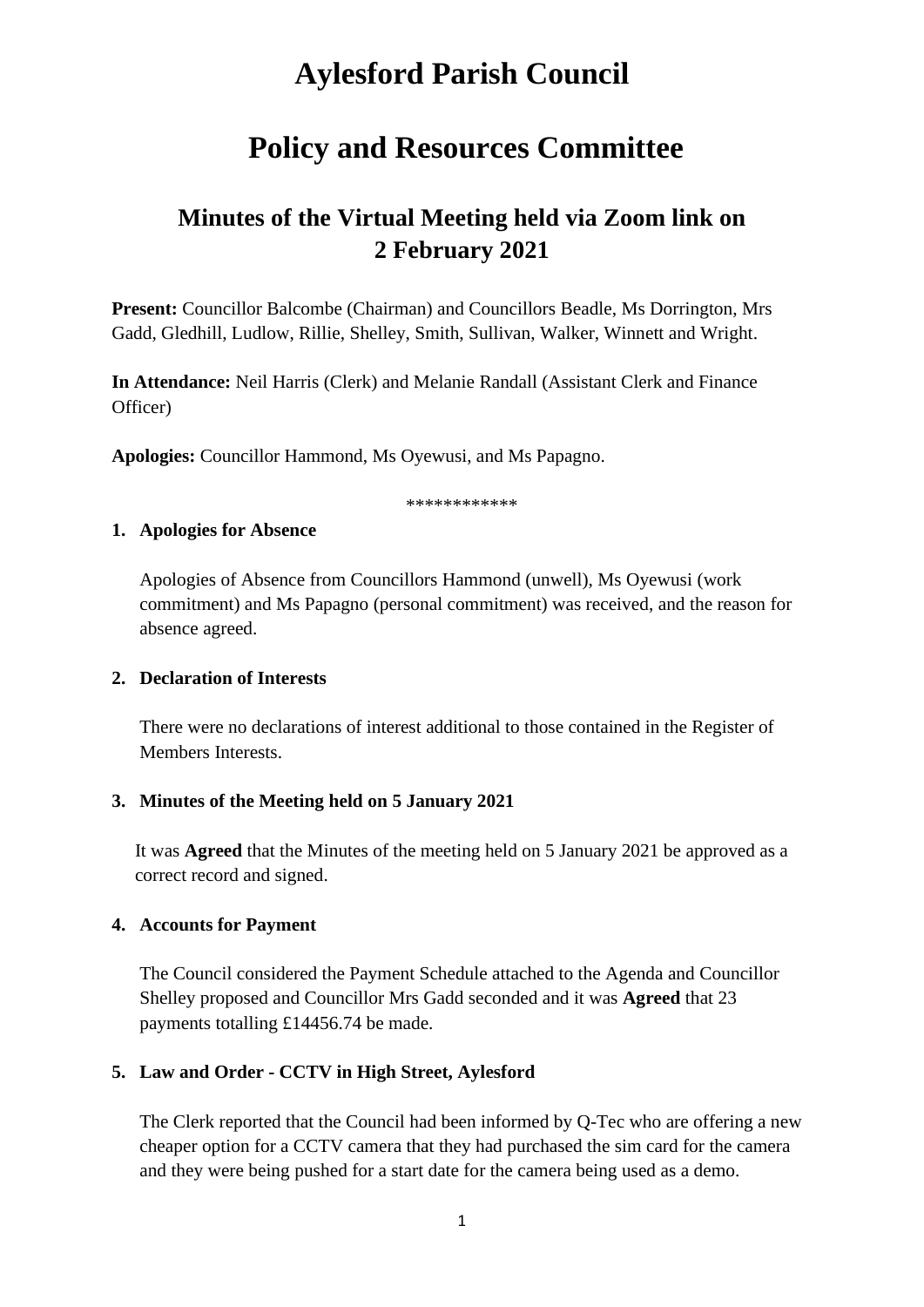# **Aylesford Parish Council**

# **Policy and Resources Committee**

## **Minutes of the Virtual Meeting held via Zoom link on 2 February 2021**

**Present:** Councillor Balcombe (Chairman) and Councillors Beadle, Ms Dorrington, Mrs Gadd, Gledhill, Ludlow, Rillie, Shelley, Smith, Sullivan, Walker, Winnett and Wright.

**In Attendance:** Neil Harris (Clerk) and Melanie Randall (Assistant Clerk and Finance Officer)

**Apologies:** Councillor Hammond, Ms Oyewusi, and Ms Papagno.

\*\*\*\*\*\*\*\*\*\*\*\*

#### **1. Apologies for Absence**

Apologies of Absence from Councillors Hammond (unwell), Ms Oyewusi (work commitment) and Ms Papagno (personal commitment) was received, and the reason for absence agreed.

#### **2. Declaration of Interests**

There were no declarations of interest additional to those contained in the Register of Members Interests.

#### **3. Minutes of the Meeting held on 5 January 2021**

It was **Agreed** that the Minutes of the meeting held on 5 January 2021 be approved as a correct record and signed.

#### **4. Accounts for Payment**

The Council considered the Payment Schedule attached to the Agenda and Councillor Shelley proposed and Councillor Mrs Gadd seconded and it was **Agreed** that 23 payments totalling £14456.74 be made.

#### **5. Law and Order - CCTV in High Street, Aylesford**

The Clerk reported that the Council had been informed by Q-Tec who are offering a new cheaper option for a CCTV camera that they had purchased the sim card for the camera and they were being pushed for a start date for the camera being used as a demo.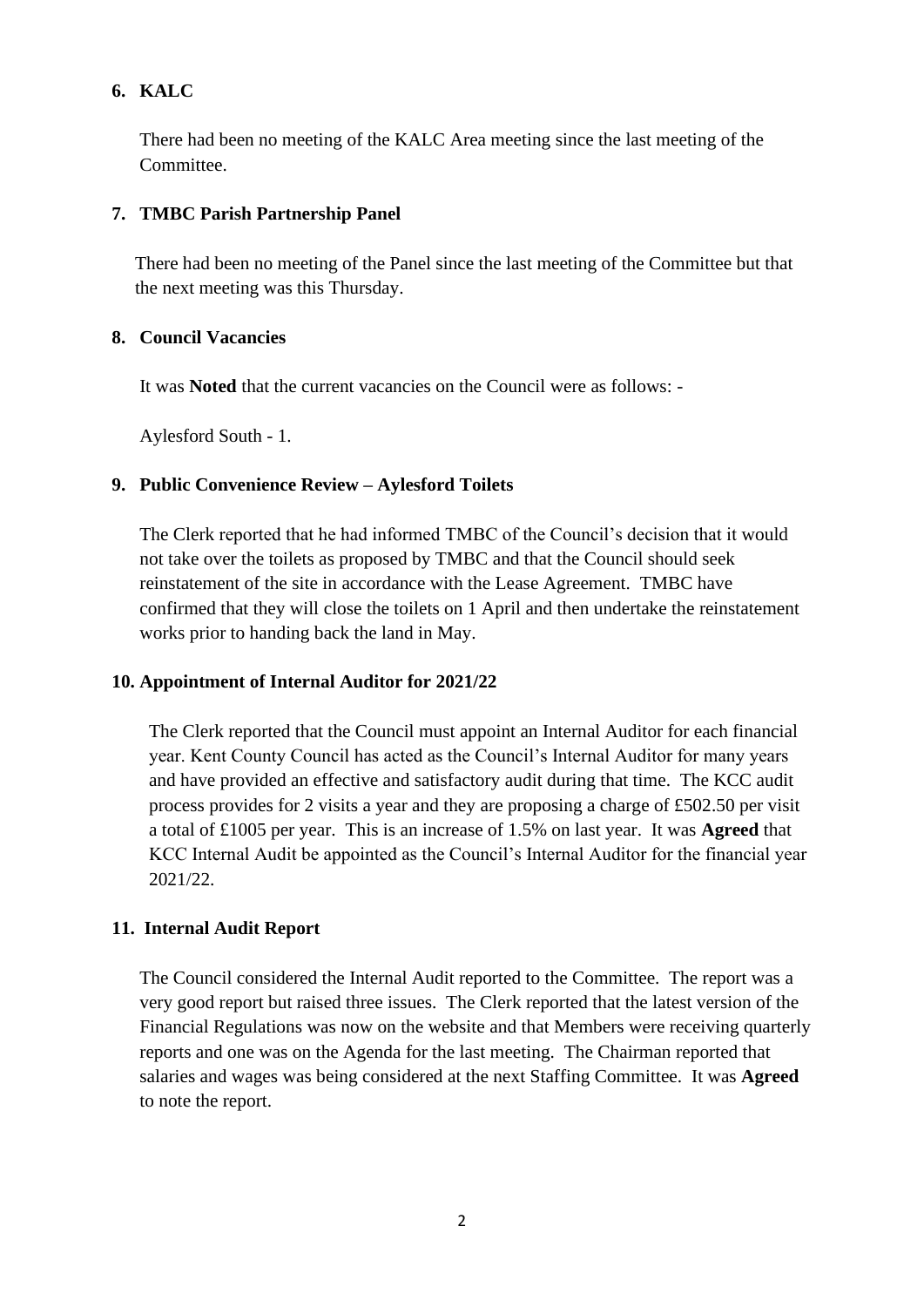### **6. KALC**

There had been no meeting of the KALC Area meeting since the last meeting of the Committee.

#### **7. TMBC Parish Partnership Panel**

There had been no meeting of the Panel since the last meeting of the Committee but that the next meeting was this Thursday.

#### **8. Council Vacancies**

It was **Noted** that the current vacancies on the Council were as follows: -

Aylesford South - 1.

#### **9. Public Convenience Review – Aylesford Toilets**

The Clerk reported that he had informed TMBC of the Council's decision that it would not take over the toilets as proposed by TMBC and that the Council should seek reinstatement of the site in accordance with the Lease Agreement. TMBC have confirmed that they will close the toilets on 1 April and then undertake the reinstatement works prior to handing back the land in May.

#### **10. Appointment of Internal Auditor for 2021/22**

The Clerk reported that the Council must appoint an Internal Auditor for each financial year. Kent County Council has acted as the Council's Internal Auditor for many years and have provided an effective and satisfactory audit during that time. The KCC audit process provides for 2 visits a year and they are proposing a charge of £502.50 per visit a total of £1005 per year. This is an increase of 1.5% on last year. It was **Agreed** that KCC Internal Audit be appointed as the Council's Internal Auditor for the financial year 2021/22.

#### **11. Internal Audit Report**

The Council considered the Internal Audit reported to the Committee. The report was a very good report but raised three issues. The Clerk reported that the latest version of the Financial Regulations was now on the website and that Members were receiving quarterly reports and one was on the Agenda for the last meeting. The Chairman reported that salaries and wages was being considered at the next Staffing Committee. It was **Agreed** to note the report.